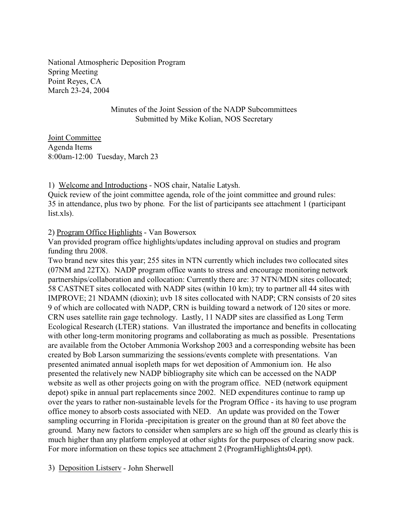National Atmospheric Deposition Program Spring Meeting Point Reyes, CA March 23-24, 2004

> Minutes of the Joint Session of the NADP Subcommittees Submitted by Mike Kolian, NOS Secretary

Joint Committee Agenda Items 8:00am-12:00 Tuesday, March 23

1) Welcome and Introductions - NOS chair, Natalie Latysh.

Quick review of the joint committee agenda, role of the joint committee and ground rules: 35 in attendance, plus two by phone. For the list of participants see attachment 1 (participant list.xls).

2) Program Office Highlights - Van Bowersox

Van provided program office highlights/updates including approval on studies and program funding thru 2008.

Two brand new sites this year; 255 sites in NTN currently which includes two collocated sites (07NM and 22TX). NADP program office wants to stress and encourage monitoring network partnerships/collaboration and collocation: Currently there are: 37 NTN/MDN sites collocated; 58 CASTNET sites collocated with NADP sites (within 10 km); try to partner all 44 sites with IMPROVE; 21 NDAMN (dioxin); uvb 18 sites collocated with NADP; CRN consists of 20 sites 9 of which are collocated with NADP, CRN is building toward a network of 120 sites or more. CRN uses satellite rain gage technology. Lastly, 11 NADP sites are classified as Long Term Ecological Research (LTER) stations. Van illustrated the importance and benefits in collocating with other long-term monitoring programs and collaborating as much as possible. Presentations are available from the October Ammonia Workshop 2003 and a corresponding website has been created by Bob Larson summarizing the sessions/events complete with presentations. Van presented animated annual isopleth maps for wet deposition of Ammonium ion. He also presented the relatively new NADP bibliography site which can be accessed on the NADP website as well as other projects going on with the program office. NED (network equipment depot) spike in annual part replacements since 2002. NED expenditures continue to ramp up over the years to rather non-sustainable levels for the Program Office - its having to use program office money to absorb costs associated with NED. An update was provided on the Tower sampling occurring in Florida -precipitation is greater on the ground than at 80 feet above the ground. Many new factors to consider when samplers are so high off the ground as clearly this is much higher than any platform employed at other sights for the purposes of clearing snow pack. For more information on these topics see attachment 2 (ProgramHighlights04.ppt).

3) Deposition Listserv - John Sherwell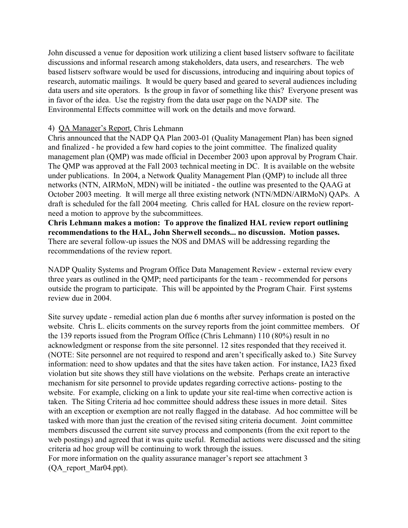John discussed a venue for deposition work utilizing a client based listserv software to facilitate discussions and informal research among stakeholders, data users, and researchers. The web based listserv software would be used for discussions, introducing and inquiring about topics of research, automatic mailings. It would be query based and geared to several audiences including data users and site operators. Is the group in favor of something like this? Everyone present was in favor of the idea. Use the registry from the data user page on the NADP site. The Environmental Effects committee will work on the details and move forward.

## 4) QA Manager's Report, Chris Lehmann

Chris announced that the NADP QA Plan 2003-01 (Quality Management Plan) has been signed and finalized - he provided a few hard copies to the joint committee. The finalized quality management plan (QMP) was made official in December 2003 upon approval by Program Chair. The QMP was approved at the Fall 2003 technical meeting in DC. It is available on the website under publications. In 2004, a Network Quality Management Plan (QMP) to include all three networks (NTN, AIRMoN, MDN) will be initiated - the outline was presented to the QAAG at October 2003 meeting. It will merge all three existing network (NTN/MDN/AIRMoN) QAPs. A draft is scheduled for the fall 2004 meeting. Chris called for HAL closure on the review reportneed a motion to approve by the subcommittees.

**Chris Lehmann makes a motion: To approve the finalized HAL review report outlining recommendations to the HAL, John Sherwell seconds... no discussion. Motion passes.**  There are several follow-up issues the NOS and DMAS will be addressing regarding the recommendations of the review report.

NADP Quality Systems and Program Office Data Management Review - external review every three years as outlined in the QMP; need participants for the team - recommended for persons outside the program to participate. This will be appointed by the Program Chair. First systems review due in 2004.

Site survey update - remedial action plan due 6 months after survey information is posted on the website. Chris L. elicits comments on the survey reports from the joint committee members. Of the 139 reports issued from the Program Office (Chris Lehmann) 110 (80%) result in no acknowledgment or response from the site personnel. 12 sites responded that they received it. (NOTE: Site personnel are not required to respond and aren't specifically asked to.) Site Survey information: need to show updates and that the sites have taken action. For instance, IA23 fixed violation but site shows they still have violations on the website. Perhaps create an interactive mechanism for site personnel to provide updates regarding corrective actions- posting to the website. For example, clicking on a link to update your site real-time when corrective action is taken. The Siting Criteria ad hoc committee should address these issues in more detail. Sites with an exception or exemption are not really flagged in the database. Ad hoc committee will be tasked with more than just the creation of the revised siting criteria document. Joint committee members discussed the current site survey process and components (from the exit report to the web postings) and agreed that it was quite useful. Remedial actions were discussed and the siting criteria ad hoc group will be continuing to work through the issues. For more information on the quality assurance manager's report see attachment 3

(QA\_report\_Mar04.ppt).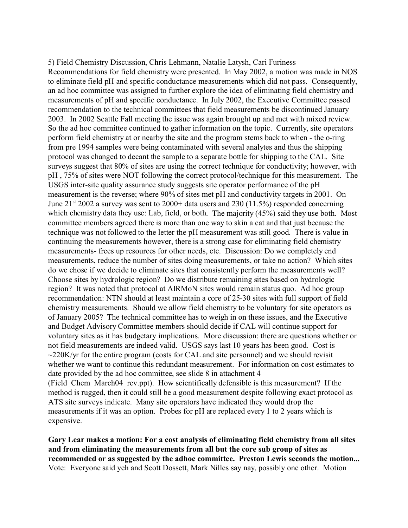#### 5) Field Chemistry Discussion, Chris Lehmann, Natalie Latysh, Cari Furiness

Recommendations for field chemistry were presented. In May 2002, a motion was made in NOS to eliminate field pH and specific conductance measurements which did not pass. Consequently, an ad hoc committee was assigned to further explore the idea of eliminating field chemistry and measurements of pH and specific conductance. In July 2002, the Executive Committee passed recommendation to the technical committees that field measurements be discontinued January 2003. In 2002 Seattle Fall meeting the issue was again brought up and met with mixed review. So the ad hoc committee continued to gather information on the topic. Currently, site operators perform field chemistry at or nearby the site and the program stems back to when - the o-ring from pre 1994 samples were being contaminated with several analytes and thus the shipping protocol was changed to decant the sample to a separate bottle for shipping to the CAL. Site surveys suggest that 80% of sites are using the correct technique for conductivity; however, with pH , 75% of sites were NOT following the correct protocol/technique for this measurement. The USGS inter-site quality assurance study suggests site operator performance of the pH measurement is the reverse; where 90% of sites met pH and conductivity targets in 2001. On June  $21^{st}$  2002 a survey was sent to 2000+ data users and 230 (11.5%) responded concerning which chemistry data they use: Lab, field, or both. The majority (45%) said they use both. Most committee members agreed there is more than one way to skin a cat and that just because the technique was not followed to the letter the pH measurement was still good. There is value in continuing the measurements however, there is a strong case for eliminating field chemistry measurements- frees up resources for other needs, etc. Discussion: Do we completely end measurements, reduce the number of sites doing measurements, or take no action? Which sites do we chose if we decide to eliminate sites that consistently perform the measurements well? Choose sites by hydrologic region? Do we distribute remaining sites based on hydrologic region? It was noted that protocol at AIRMoN sites would remain status quo. Ad hoc group recommendation: NTN should at least maintain a core of 25-30 sites with full support of field chemistry measurements. Should we allow field chemistry to be voluntary for site operators as of January 2005? The technical committee has to weigh in on these issues, and the Executive and Budget Advisory Committee members should decide if CAL will continue support for voluntary sites as it has budgetary implications. More discussion: there are questions whether or not field measurements are indeed valid. USGS says last 10 years has been good. Cost is  $\sim$ 220K/yr for the entire program (costs for CAL and site personnel) and we should revisit whether we want to continue this redundant measurement. For information on cost estimates to date provided by the ad hoc committee, see slide 8 in attachment 4 (Field\_Chem\_March04\_rev.ppt). How scientifically defensible is this measurement? If the method is rugged, then it could still be a good measurement despite following exact protocol as ATS site surveys indicate. Many site operators have indicated they would drop the measurements if it was an option. Probes for pH are replaced every 1 to 2 years which is expensive.

**Gary Lear makes a motion: For a cost analysis of eliminating field chemistry from all sites and from eliminating the measurements from all but the core sub group of sites as recommended or as suggested by the adhoc committee. Preston Lewis seconds the motion...** Vote: Everyone said yeh and Scott Dossett, Mark Nilles say nay, possibly one other. Motion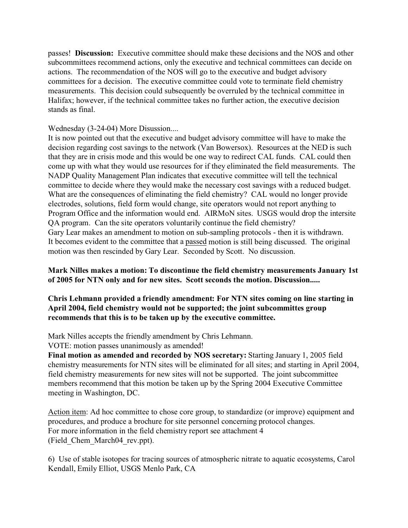passes! **Discussion:** Executive committee should make these decisions and the NOS and other subcommittees recommend actions, only the executive and technical committees can decide on actions. The recommendation of the NOS will go to the executive and budget advisory committees for a decision. The executive committee could vote to terminate field chemistry measurements. This decision could subsequently be overruled by the technical committee in Halifax; however, if the technical committee takes no further action, the executive decision stands as final.

### Wednesday (3-24-04) More Disussion....

It is now pointed out that the executive and budget advisory committee will have to make the decision regarding cost savings to the network (Van Bowersox). Resources at the NED is such that they are in crisis mode and this would be one way to redirect CAL funds. CAL could then come up with what they would use resources for if they eliminated the field measurements. The NADP Quality Management Plan indicates that executive committee will tell the technical committee to decide where they would make the necessary cost savings with a reduced budget. What are the consequences of eliminating the field chemistry? CAL would no longer provide electrodes, solutions, field form would change, site operators would not report anything to Program Office and the information would end. AIRMoN sites. USGS would drop the intersite QA program. Can the site operators voluntarily continue the field chemistry? Gary Lear makes an amendment to motion on sub-sampling protocols - then it is withdrawn. It becomes evident to the committee that a passed motion is still being discussed. The original motion was then rescinded by Gary Lear. Seconded by Scott. No discussion.

### **Mark Nilles makes a motion: To discontinue the field chemistry measurements January 1st of 2005 for NTN only and for new sites. Scott seconds the motion. Discussion.....**

## **Chris Lehmann provided a friendly amendment: For NTN sites coming on line starting in April 2004, field chemistry would not be supported; the joint subcommittes group recommends that this is to be taken up by the executive committee.**

Mark Nilles accepts the friendly amendment by Chris Lehmann.

VOTE: motion passes unanimously as amended!

**Final motion as amended and recorded by NOS secretary:** Starting January 1, 2005 field chemistry measurements for NTN sites will be eliminated for all sites; and starting in April 2004, field chemistry measurements for new sites will not be supported. The joint subcommittee members recommend that this motion be taken up by the Spring 2004 Executive Committee meeting in Washington, DC.

Action item: Ad hoc committee to chose core group, to standardize (or improve) equipment and procedures, and produce a brochure for site personnel concerning protocol changes. For more information in the field chemistry report see attachment 4 (Field\_Chem\_March04\_rev.ppt).

6) Use of stable isotopes for tracing sources of atmospheric nitrate to aquatic ecosystems, Carol Kendall, Emily Elliot, USGS Menlo Park, CA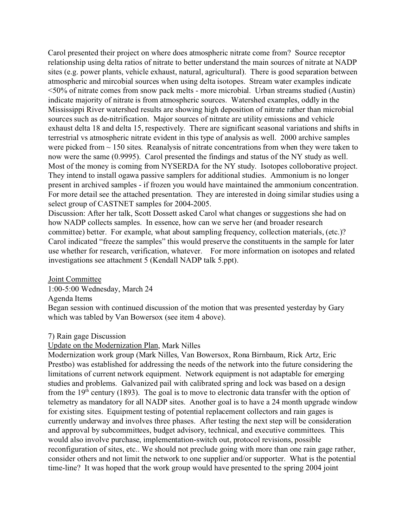Carol presented their project on where does atmospheric nitrate come from? Source receptor relationship using delta ratios of nitrate to better understand the main sources of nitrate at NADP sites (e.g. power plants, vehicle exhaust, natural, agricultural). There is good separation between atmospheric and mircobial sources when using delta isotopes. Stream water examples indicate <50% of nitrate comes from snow pack melts - more microbial. Urban streams studied (Austin) indicate majority of nitrate is from atmospheric sources. Watershed examples, oddly in the Mississippi River watershed results are showing high deposition of nitrate rather than microbial sources such as de-nitrification. Major sources of nitrate are utility emissions and vehicle exhaust delta 18 and delta 15, respectively. There are significant seasonal variations and shifts in terrestrial vs atmospheric nitrate evident in this type of analysis as well. 2000 archive samples were picked from  $\sim$  150 sites. Reanalysis of nitrate concentrations from when they were taken to now were the same (0.9995). Carol presented the findings and status of the NY study as well. Most of the money is coming from NYSERDA for the NY study. Isotopes colloborative project. They intend to install ogawa passive samplers for additional studies. Ammonium is no longer present in archived samples - if frozen you would have maintained the ammonium concentration. For more detail see the attached presentation. They are interested in doing similar studies using a select group of CASTNET samples for 2004-2005.

Discussion: After her talk, Scott Dossett asked Carol what changes or suggestions she had on how NADP collects samples. In essence, how can we serve her (and broader research committee) better. For example, what about sampling frequency, collection materials, (etc.)? Carol indicated "freeze the samples" this would preserve the constituents in the sample for later use whether for research, verification, whatever. For more information on isotopes and related investigations see attachment 5 (Kendall NADP talk 5.ppt).

Joint Committee

1:00-5:00 Wednesday, March 24

Agenda Items

Began session with continued discussion of the motion that was presented yesterday by Gary which was tabled by Van Bowersox (see item 4 above).

### 7) Rain gage Discussion

Update on the Modernization Plan, Mark Nilles

Modernization work group (Mark Nilles, Van Bowersox, Rona Birnbaum, Rick Artz, Eric Prestbo) was established for addressing the needs of the network into the future considering the limitations of current network equipment. Network equipment is not adaptable for emerging studies and problems. Galvanized pail with calibrated spring and lock was based on a design from the  $19<sup>th</sup>$  century (1893). The goal is to move to electronic data transfer with the option of telemetry as mandatory for all NADP sites. Another goal is to have a 24 month upgrade window for existing sites. Equipment testing of potential replacement collectors and rain gages is currently underway and involves three phases. After testing the next step will be consideration and approval by subcommittees, budget advisory, technical, and executive committees. This would also involve purchase, implementation-switch out, protocol revisions, possible reconfiguration of sites, etc.. We should not preclude going with more than one rain gage rather, consider others and not limit the network to one supplier and/or supporter. What is the potential time-line? It was hoped that the work group would have presented to the spring 2004 joint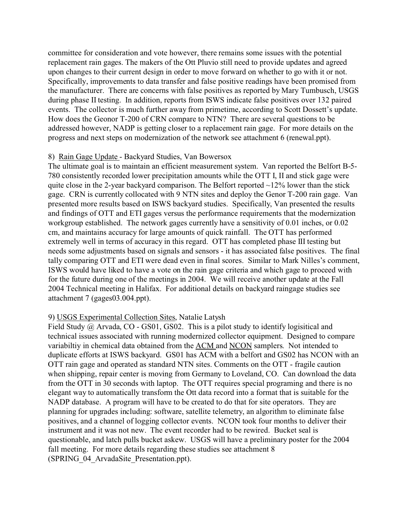committee for consideration and vote however, there remains some issues with the potential replacement rain gages. The makers of the Ott Pluvio still need to provide updates and agreed upon changes to their current design in order to move forward on whether to go with it or not. Specifically, improvements to data transfer and false positive readings have been promised from the manufacturer. There are concerns with false positives as reported by Mary Tumbusch, USGS during phase II testing. In addition, reports from ISWS indicate false positives over 132 paired events. The collector is much further away from primetime, according to Scott Dossett's update. How does the Geonor T-200 of CRN compare to NTN? There are several questions to be addressed however, NADP is getting closer to a replacement rain gage. For more details on the progress and next steps on modernization of the network see attachment 6 (renewal.ppt).

### 8) Rain Gage Update - Backyard Studies, Van Bowersox

The ultimate goal is to maintain an efficient measurement system. Van reported the Belfort B-5- 780 consistently recorded lower precipitation amounts while the OTT I, II and stick gage were quite close in the 2-year backyard comparison. The Belfort reported  $\sim$ 12% lower than the stick gage. CRN is currently collocated with 9 NTN sites and deploy the Genor T-200 rain gage. Van presented more results based on ISWS backyard studies. Specifically, Van presented the results and findings of OTT and ETI gages versus the performance requirements that the modernization workgroup established. The network gages currently have a sensitivity of 0.01 inches, or 0.02 cm, and maintains accuracy for large amounts of quick rainfall. The OTT has performed extremely well in terms of accuracy in this regard. OTT has completed phase III testing but needs some adjustments based on signals and sensors - it has associated false positives. The final tally comparing OTT and ETI were dead even in final scores. Similar to Mark Nilles's comment, ISWS would have liked to have a vote on the rain gage criteria and which gage to proceed with for the future during one of the meetings in 2004. We will receive another update at the Fall 2004 Technical meeting in Halifax. For additional details on backyard raingage studies see attachment 7 (gages03.004.ppt).

# 9) USGS Experimental Collection Sites, Natalie Latysh

Field Study @ Arvada, CO - GS01, GS02. This is a pilot study to identify logisitical and technical issues associated with running modernized collector equipment. Designed to compare variabiltiy in chemical data obtained from the ACM and NCON samplers. Not intended to duplicate efforts at ISWS backyard. GS01 has ACM with a belfort and GS02 has NCON with an OTT rain gage and operated as standard NTN sites. Comments on the OTT - fragile caution when shipping, repair center is moving from Germany to Loveland, CO. Can download the data from the OTT in 30 seconds with laptop. The OTT requires special programing and there is no elegant way to automatically transform the Ott data record into a format that is suitable for the NADP database. A program will have to be created to do that for site operators. They are planning for upgrades including: software, satellite telemetry, an algorithm to eliminate false positives, and a channel of logging collector events. NCON took four months to deliver their instrument and it was not new. The event recorder had to be rewired. Bucket seal is questionable, and latch pulls bucket askew. USGS will have a preliminary poster for the 2004 fall meeting. For more details regarding these studies see attachment 8 (SPRING\_04\_ArvadaSite\_Presentation.ppt).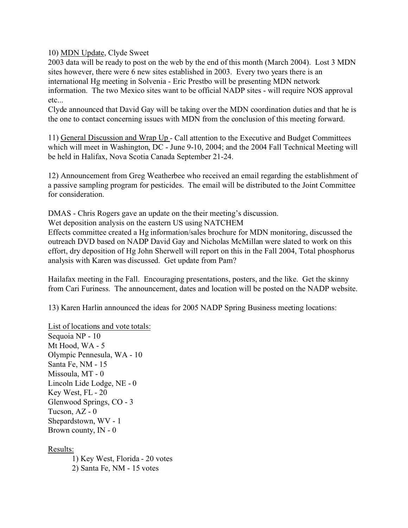10) MDN Update, Clyde Sweet

2003 data will be ready to post on the web by the end of this month (March 2004). Lost 3 MDN sites however, there were 6 new sites established in 2003. Every two years there is an international Hg meeting in Solvenia - Eric Prestbo will be presenting MDN network information. The two Mexico sites want to be official NADP sites - will require NOS approval etc...

Clyde announced that David Gay will be taking over the MDN coordination duties and that he is the one to contact concerning issues with MDN from the conclusion of this meeting forward.

11) General Discussion and Wrap Up - Call attention to the Executive and Budget Committees which will meet in Washington, DC - June 9-10, 2004; and the 2004 Fall Technical Meeting will be held in Halifax, Nova Scotia Canada September 21-24.

12) Announcement from Greg Weatherbee who received an email regarding the establishment of a passive sampling program for pesticides. The email will be distributed to the Joint Committee for consideration.

DMAS - Chris Rogers gave an update on the their meeting's discussion.

Wet deposition analysis on the eastern US using NATCHEM

Effects committee created a Hg information/sales brochure for MDN monitoring, discussed the outreach DVD based on NADP David Gay and Nicholas McMillan were slated to work on this effort, dry deposition of Hg John Sherwell will report on this in the Fall 2004, Total phosphorus analysis with Karen was discussed. Get update from Pam?

Hailafax meeting in the Fall. Encouraging presentations, posters, and the like. Get the skinny from Cari Furiness. The announcement, dates and location will be posted on the NADP website.

13) Karen Harlin announced the ideas for 2005 NADP Spring Business meeting locations:

List of locations and vote totals:

Sequoia NP - 10 Mt Hood, WA - 5 Olympic Pennesula, WA - 10 Santa Fe, NM - 15 Missoula, MT - 0 Lincoln Lide Lodge, NE - 0 Key West, FL - 20 Glenwood Springs, CO - 3 Tucson, AZ - 0 Shepardstown, WV - 1 Brown county, IN - 0

Results:

1) Key West, Florida - 20 votes 2) Santa Fe, NM - 15 votes